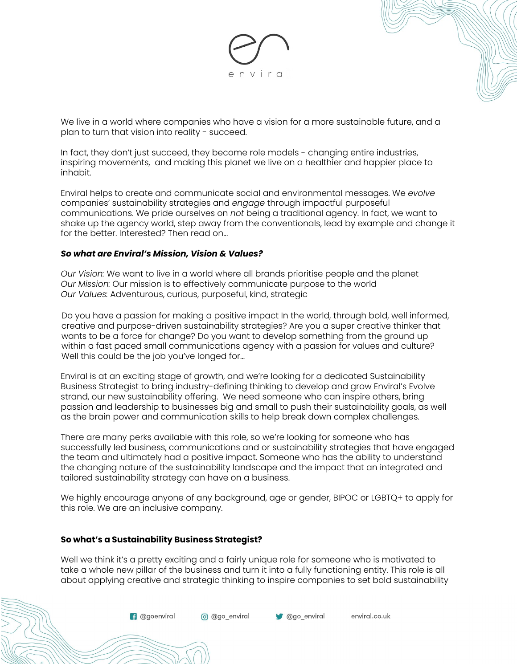

We live in a world where companies who have a vision for a more sustainable future, and a plan to turn that vision into reality - succeed.

In fact, they don't just succeed, they become role models - changing entire industries, inspiring movements, and making this planet we live on a healthier and happier place to inhabit.

Enviral helps to create and communicate social and environmental messages. We *evolve* companies' sustainability strategies and *engage* through impactful purposeful communications. We pride ourselves on *not* being a traditional agency. In fact, we want to shake up the agency world, step away from the conventionals, lead by example and change it for the better. Interested? Then read on...

#### *So what are Enviral's Mission, Vision & Values?*

*Our Vision:* We want to live in a world where all brands prioritise people and the planet *Our Mission:* Our mission is to effectively communicate purpose to the world *Our Values:* Adventurous, curious, purposeful, kind, strategic

Do you have a passion for making a positive impact In the world, through bold, well informed, creative and purpose-driven sustainability strategies? Are you a super creative thinker that wants to be a force for change? Do you want to develop something from the ground up within a fast paced small communications agency with a passion for values and culture? Well this could be the job you've longed for...

Enviral is at an exciting stage of growth, and we're looking for a dedicated Sustainability Business Strategist to bring industry-defining thinking to develop and grow Enviral's Evolve strand, our new sustainability offering. We need someone who can inspire others, bring passion and leadership to businesses big and small to push their sustainability goals, as well as the brain power and communication skills to help break down complex challenges.

There are many perks available with this role, so we're looking for someone who has successfully led business, communications and or sustainability strategies that have engaged the team and ultimately had a positive impact. Someone who has the ability to understand the changing nature of the sustainability landscape and the impact that an integrated and tailored sustainability strategy can have on a business.

We highly encourage anyone of any background, age or gender, BIPOC or LGBTQ+ to apply for this role. We are an inclusive company.

## **So what's a Sustainability Business Strategist?**

Well we think it's a pretty exciting and a fairly unique role for someone who is motivated to take a whole new pillar of the business and turn it into a fully functioning entity. This role is all about applying creative and strategic thinking to inspire companies to set bold sustainability



o @go\_enviral

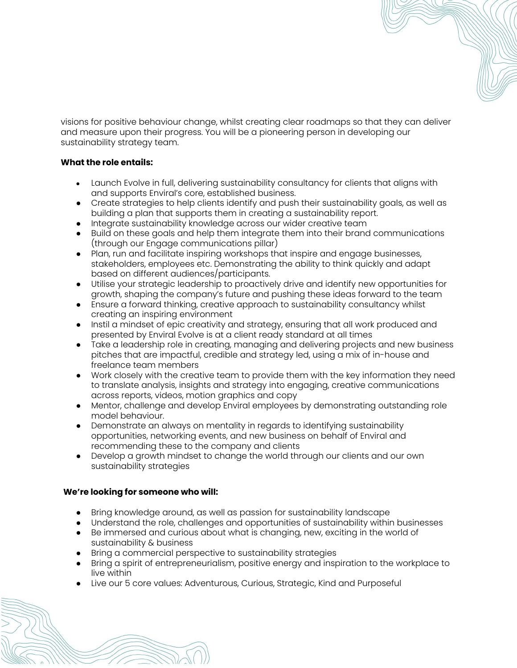visions for positive behaviour change, whilst creating clear roadmaps so that they can deliver and measure upon their progress. You will be a pioneering person in developing our sustainability strategy team.

## **What the role entails:**

- Launch Evolve in full, delivering sustainability consultancy for clients that aligns with and supports Enviral's core, established business.
- Create strategies to help clients identify and push their sustainability goals, as well as building a plan that supports them in creating a sustainability report.
- Integrate sustainability knowledge across our wider creative team
- Build on these goals and help them integrate them into their brand communications (through our Engage communications pillar)
- Plan, run and facilitate inspiring workshops that inspire and engage businesses, stakeholders, employees etc. Demonstrating the ability to think quickly and adapt based on different audiences/participants.
- Utilise your strategic leadership to proactively drive and identify new opportunities for growth, shaping the company's future and pushing these ideas forward to the team
- Ensure a forward thinking, creative approach to sustainability consultancy whilst creating an inspiring environment
- Instil a mindset of epic creativity and strategy, ensuring that all work produced and presented by Enviral Evolve is at a client ready standard at all times
- Take a leadership role in creating, managing and delivering projects and new business pitches that are impactful, credible and strategy led, using a mix of in-house and freelance team members
- Work closely with the creative team to provide them with the key information they need to translate analysis, insights and strategy into engaging, creative communications across reports, videos, motion graphics and copy
- Mentor, challenge and develop Enviral employees by demonstrating outstanding role model behaviour.
- Demonstrate an always on mentality in regards to identifying sustainability opportunities, networking events, and new business on behalf of Enviral and recommending these to the company and clients
- Develop a growth mindset to change the world through our clients and our own sustainability strategies

### **We're looking for someone who will:**

- Bring knowledge around, as well as passion for sustainability landscape
- Understand the role, challenges and opportunities of sustainability within businesses
- Be immersed and curious about what is changing, new, exciting in the world of sustainability & business
- Bring a commercial perspective to sustainability strategies
- Bring a spirit of entrepreneurialism, positive energy and inspiration to the workplace to live within
- Live our 5 core values: Adventurous, Curious, Strategic, Kind and Purposeful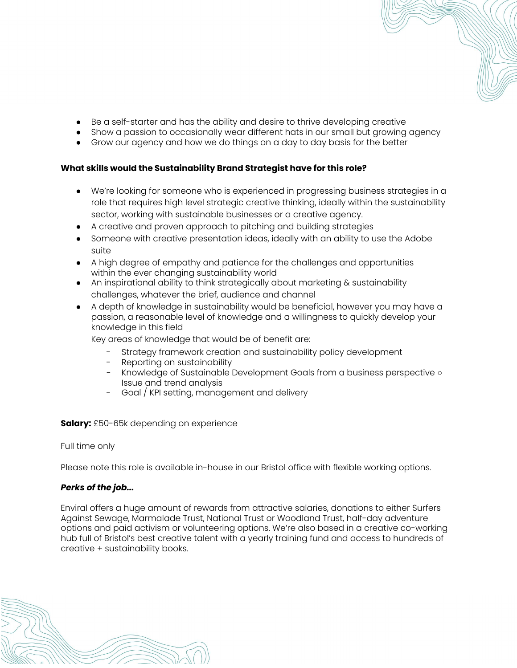- Be a self-starter and has the ability and desire to thrive developing creative
- Show a passion to occasionally wear different hats in our small but growing agency
- Grow our agency and how we do things on a day to day basis for the better

## **What skills would the Sustainability Brand Strategist have for this role?**

- We're looking for someone who is experienced in progressing business strategies in a role that requires high level strategic creative thinking, ideally within the sustainability sector, working with sustainable businesses or a creative agency.
- A creative and proven approach to pitching and building strategies
- Someone with creative presentation ideas, ideally with an ability to use the Adobe suite
- A high degree of empathy and patience for the challenges and opportunities within the ever changing sustainability world
- An inspirational ability to think strategically about marketing & sustainability challenges, whatever the brief, audience and channel
- A depth of knowledge in sustainability would be beneficial, however you may have a passion, a reasonable level of knowledge and a willingness to quickly develop your knowledge in this field

Key areas of knowledge that would be of benefit are:

- Strategy framework creation and sustainability policy development
- Reporting on sustainability
- Knowledge of Sustainable Development Goals from a business perspective Issue and trend analysis
- Goal / KPI setting, management and delivery

### **Salary:** £50-65k depending on experience

Full time only

Please note this role is available in-house in our Bristol office with flexible working options.

# *Perks of the job...*

Enviral offers a huge amount of rewards from attractive salaries, donations to either Surfers Against Sewage, Marmalade Trust, National Trust or Woodland Trust, half-day adventure options and paid activism or volunteering options. We're also based in a creative co-working hub full of Bristol's best creative talent with a yearly training fund and access to hundreds of creative + sustainability books.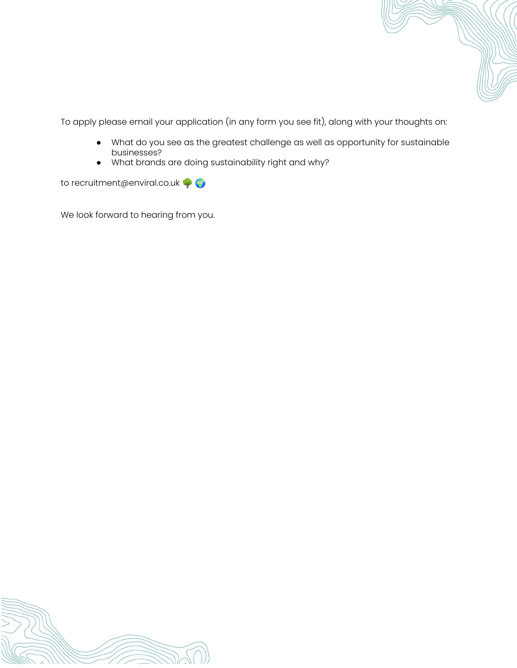To apply please email your application (in any form you see fit), along with your thoughts on:

- What do you see as the greatest challenge as well as opportunity for sustainable businesses?
- What brands are doing sustainability right and why?

to recruitment@enviral.co.uk

We look forward to hearing from you.

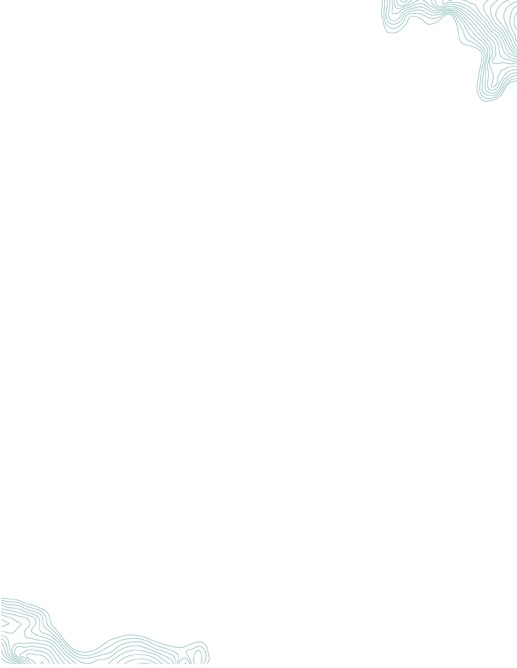